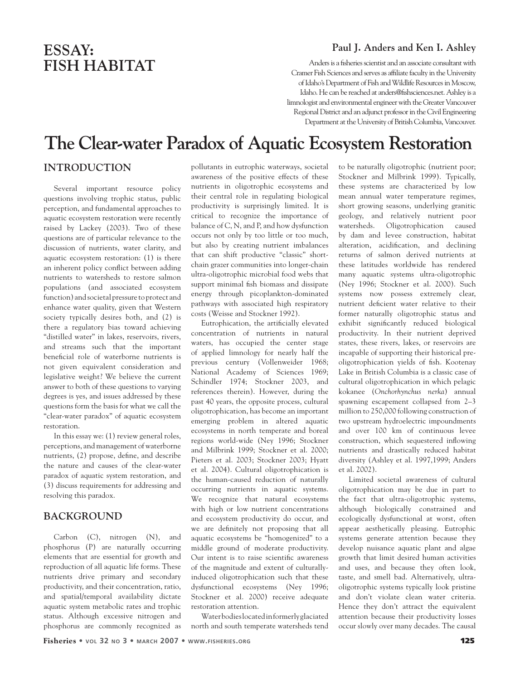# **ESSAY: FISH HABITAT**

# **Paul J. Anders and Ken I. Ashley**

Anders is a fisheries scientist and an associate consultant with Cramer Fish Sciences and serves as affiliate faculty in the University of Idaho's Department of Fish and Wildlife Resources in Moscow, Idaho. He can be reached at anders@fishsciences.net. Ashley is a limnologist and environmental engineer with the Greater Vancouver Regional District and an adjunct professor in the Civil Engineering Department at the University of British Columbia, Vancouver.

# **The Clear-water Paradox of Aquatic Ecosystem Restoration**

### **INTRODUCTION**

 Several important resource policy questions involving trophic status, public perception, and fundamental approaches to aquatic ecosystem restoration were recently raised by Lackey (2003). Two of these questions are of particular relevance to the discussion of nutrients, water clarity, and aquatic ecosystem restoration: (1) is there an inherent policy conflict between adding nutrients to watersheds to restore salmon populations (and associated ecosystem function) and societal pressure to protect and enhance water quality, given that Western society typically desires both, and (2) is there a regulatory bias toward achieving "distilled water" in lakes, reservoirs, rivers, and streams such that the important beneficial role of waterborne nutrients is not given equivalent consideration and legislative weight? We believe the current answer to both of these questions to varying degrees is yes, and issues addressed by these questions form the basis for what we call the "clear-water paradox" of aquatic ecosystem restoration.

In this essay we: (1) review general roles, perceptions, and management of waterborne nutrients, (2) propose, define, and describe the nature and causes of the clear-water paradox of aquatic system restoration, and (3) discuss requirements for addressing and resolving this paradox.

#### **BACKGROUND**

 Carbon (C), nitrogen (N), and phosphorus (P) are naturally occurring elements that are essential for growth and reproduction of all aquatic life forms. These nutrients drive primary and secondary productivity, and their concentration, ratio, and spatial/temporal availability dictate aquatic system metabolic rates and trophic status. Although excessive nitrogen and phosphorus are commonly recognized as

pollutants in eutrophic waterways, societal awareness of the positive effects of these nutrients in oligotrophic ecosystems and their central role in regulating biological productivity is surprisingly limited. It is critical to recognize the importance of balance of C, N, and P, and how dysfunction occurs not only by too little or too much, but also by creating nutrient imbalances that can shift productive "classic" shortchain grazer communities into longer-chain ultra-oligotrophic microbial food webs that support minimal fish biomass and dissipate energy through picoplankton-dominated pathways with associated high respiratory costs (Weisse and Stockner 1992).

Eutrophication, the artificially elevated concentration of nutrients in natural waters, has occupied the center stage of applied limnology for nearly half the previous century (Vollenweider 1968; National Academy of Sciences 1969; Schindler 1974; Stockner 2003, and references therein). However, during the past 40 years, the opposite process, cultural oligotrophication, has become an important emerging problem in altered aquatic ecosystems in north temperate and boreal regions world-wide (Ney 1996; Stockner and Milbrink 1999; Stockner et al. 2000; Pieters et al. 2003; Stockner 2003; Hyatt et al. 2004). Cultural oligotrophication is the human-caused reduction of naturally occurring nutrients in aquatic systems. We recognize that natural ecosystems with high or low nutrient concentrations and ecosystem productivity do occur, and we are definitely not proposing that all aquatic ecosystems be "homogenized" to a middle ground of moderate productivity. Our intent is to raise scientific awareness of the magnitude and extent of culturallyinduced oligotrophication such that these dysfunctional ecosystems (Ney 1996; Stockner et al. 2000) receive adequate restoration attention.

Water bodies located in formerly glaciated north and south temperate watersheds tend to be naturally oligotrophic (nutrient poor; Stockner and Milbrink 1999). Typically, these systems are characterized by low mean annual water temperature regimes, short growing seasons, underlying granitic geology, and relatively nutrient poor watersheds. Oligotrophication caused by dam and levee construction, habitat alteration, acidification, and declining returns of salmon derived nutrients at these latitudes worldwide has rendered many aquatic systems ultra-oligotrophic (Ney 1996; Stockner et al. 2000). Such systems now possess extremely clear, nutrient deficient water relative to their former naturally oligotrophic status and exhibit significantly reduced biological productivity. In their nutrient deprived states, these rivers, lakes, or reservoirs are incapable of supporting their historical preoligotrophication yields of fish. Kootenay Lake in British Columbia is a classic case of cultural oligotrophication in which pelagic kokanee (*Onchorhynchus nerka*) annual spawning escapement collapsed from 2–3 million to 250, 000 following construction of two upstream hydroelectric impoundments and over 100 km of continuous levee construction, which sequestered inflowing nutrients and drastically reduced habitat diversity (Ashley et al. 1997,1999; Anders et al. 2002).

 Limited societal awareness of cultural oligotrophication may be due in part to the fact that ultra-oligotrophic systems, although biologically constrained and ecologically dysfunctional at worst, often appear aesthetically pleasing. Eutrophic systems generate attention because they develop nuisance aquatic plant and algae growth that limit desired human activities and uses, and because they often look, taste, and smell bad. Alternatively, ultraoligotrophic systems typically look pristine and don't violate clean water criteria. Hence they don't attract the equivalent attention because their productivity losses occur slowly over many decades. The causal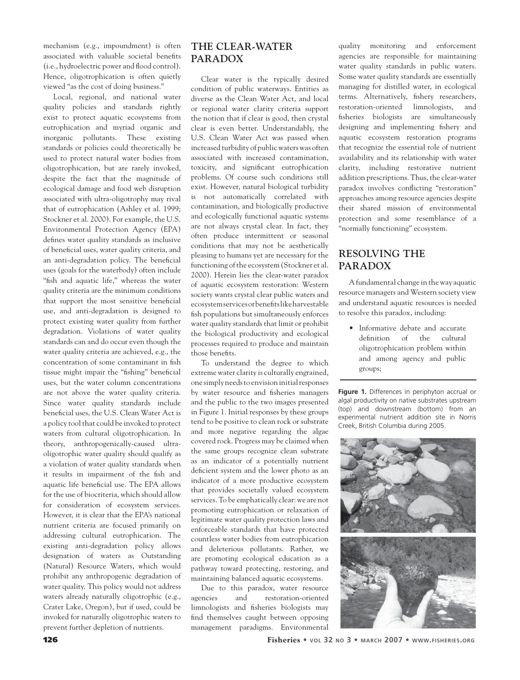mechanism (e.g., impoundment) is often associated with valuable societal benefits (i.e., hydroelectric power and flood control). Hence, oligotrophication is often quietly viewed "as the cost of doing business."

 Local, regional, and national water quality policies and standards rightly exist to protect aquatic ecosystems from eutrophication and myriad organic and inorganic pollutants. These existing standards or policies could theoretically be used to protect natural water bodies from oligotrophication, but are rarely invoked, despite the fact that the magnitude of ecological damage and food web disruption associated with ultra-oligotrophy may rival that of eutrophication (Ashley et al. 1999; Stockner et al. 2000). For example, the U.S. Environmental Protection Agency (EPA) defines water quality standards as inclusive of beneficial uses, water quality criteria, and an anti-degradation policy. The beneficial uses (goals for the waterbody) often include "fish and aquatic life," whereas the water quality criteria are the minimum conditions that support the most sensitive beneficial use, and anti-degradation is designed to protect existing water quality from further degradation. Violations of water quality standards can and do occur even though the water quality criteria are achieved, e.g., the concentration of some contaminant in fish tissue might impair the "fishing" beneficial uses, but the water column concentrations are not above the water quality criteria. Since water quality standards include beneficial uses, the U.S. Clean Water Act is a policy tool that could be invoked to protect waters from cultural oligotrophication. In theory, anthropogenically-caused ultraoligotrophic water quality should qualify as a violation of water quality standards when it results in impairment of the fish and aquatic life beneficial use. The EPA allows for the use of biocriteria, which should allow for consideration of ecosystem services. However, it is clear that the EPA's national nutrient criteria are focused primarily on addressing cultural eutrophication. The existing anti-degradation policy allows designation of waters as Outstanding (Natural) Resource Waters, which would prohibit any anthropogenic degradation of water quality. This policy would not address waters already naturally oligotrophic (e.g., Crater Lake, Oregon), but if used, could be invoked for naturally oligotrophic waters to prevent further depletion of nutrients.

#### **THE CLEAR-WATER PARADOX**

 Clear water is the typically desired condition of public waterways. Entities as diverse as the Clean Water Act, and local or regional water clarity criteria support the notion that if clear is good, then crystal clear is even better. Understandably, the U.S. Clean Water Act was passed when increased turbidity of public waters was often associated with increased contamination, toxicity, and significant eutrophication problems. Of course such conditions still exist. However, natural biological turbidity is not automatically correlated with contamination, and biologically productive and ecologically functional aquatic systems are not always crystal clear. In fact, they often produce intermittent or seasonal conditions that may not be aesthetically pleasing to humans yet are necessary for the functioning of the ecosystem (Stockner et al. 2000). Herein lies the clear-water paradox of aquatic ecosystem restoration: Western society wants crystal clear public waters and ecosystem services or benefi ts like harvestable fish populations but simultaneously enforces water quality standards that limit or prohibit the biological productivity and ecological processes required to produce and maintain those benefits.

 To understand the degree to which extreme water clarity is culturally engrained, one simply needs to envision initial responses by water resource and fisheries managers and the public to the two images presented in Figure 1. Initial responses by these groups tend to be positive to clean rock or substrate and more negative regarding the algae covered rock. Progress may be claimed when the same groups recognize clean substrate as an indicator of a potentially nutrient deficient system and the lower photo as an indicator of a more productive ecosystem that provides societally valued ecosystem services. To be emphatically clear: we are not promoting eutrophication or relaxation of legitimate water quality protection laws and enforceable standards that have protected countless water bodies from eutrophication and deleterious pollutants. Rather, we are promoting ecological education as a pathway toward protecting, restoring, and maintaining balanced aquatic ecosystems.

 Due to this paradox, water resource agencies and restoration-oriented limnologists and fisheries biologists may find themselves caught between opposing management paradigms. Environmental

quality monitoring and enforcement agencies are responsible for maintaining water quality standards in public waters. Some water quality standards are essentially managing for distilled water, in ecological terms. Alternatively, fishery researchers, restoration-oriented limnologists, and fisheries biologists are simultaneously designing and implementing fishery and aquatic ecosystem restoration programs that recognize the essential role of nutrient availability and its relationship with water clarity, including restorative nutrient addition prescriptions. Thus, the clear-water paradox involves conflicting "restoration" approaches among resource agencies despite their shared mission of environmental protection and some resemblance of a "normally functioning" ecosystem.

# **RESOLVING THE PARADOX**

A fundamental change in the way aquatic resource managers and Western society view and understand aquatic resources is needed to resolve this paradox, including:

• Informative debate and accurate definition of the cultural oligotrophication problem within and among agency and public groups;

**Figure 1.** Differences in periphyton accrual or algal productivity on native substrates upstream (top) and downstream (bottom) from an experimental nutrient addition site in Norris Creek, British Columbia during 2005.



**126 Fisheries** • **VOL 32 NO 3 • MARCH 2007 • WWW.FISHERIES.ORG**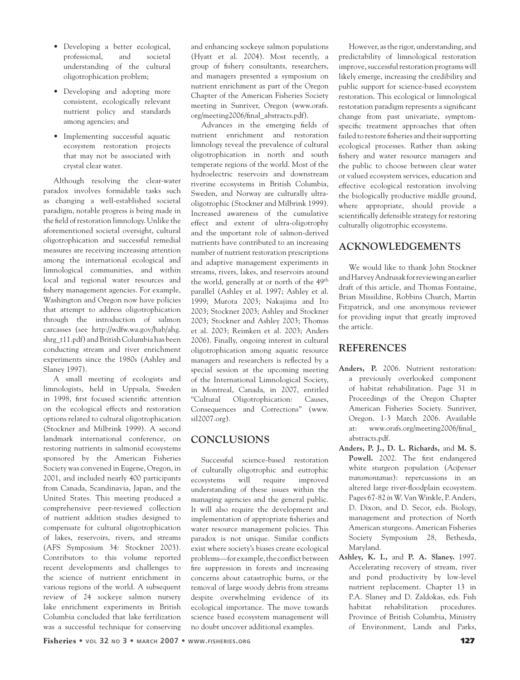- Developing a better ecological, professional, and societal understanding of the cultural oligotrophication problem;
- Developing and adopting more consistent, ecologically relevant nutrient policy and standards among agencies; and
- Implementing successful aquatic ecosystem restoration projects that may not be associated with crystal clear water.

Although resolving the clear-water paradox involves formidable tasks such as changing a well-established societal paradigm, notable progress is being made in the field of restoration limnology. Unlike the aforementioned societal oversight, cultural oligotrophication and successful remedial measures are receiving increasing attention among the international ecological and limnological communities, and within local and regional water resources and fishery management agencies. For example, Washington and Oregon now have policies that attempt to address oligotrophication through the introduction of salmon carcasses (see http://wdfw.wa.gov/hab/ahg. shrg t11.pdf) and British Columbia has been conducting stream and river enrichment experiments since the 1980s (Ashley and Slaney 1997).

 A small meeting of ecologists and limnologists, held in Uppsala, Sweden in 1998, first focused scientific attention on the ecological effects and restoration options related to cultural oligotrophication (Stockner and Milbrink 1999). A second landmark international conference, on restoring nutrients in salmonid ecosystems sponsored by the American Fisheries Society was convened in Eugene, Oregon, in 2001, and included nearly 400 participants from Canada, Scandinavia, Japan, and the United States. This meeting produced a comprehensive peer-reviewed collection of nutrient addition studies designed to compensate for cultural oligotrophication of lakes, reservoirs, rivers, and streams (AFS Symposium 34: Stockner 2003). Contributors to this volume reported recent developments and challenges to the science of nutrient enrichment in various regions of the world. A subsequent review of 24 sockeye salmon nursery lake enrichment experiments in British Columbia concluded that lake fertilization was a successful technique for conserving and enhancing sockeye salmon populations (Hyatt et al. 2004). Most recently, a group of fishery consultants, researchers, and managers presented a symposium on nutrient enrichment as part of the Oregon Chapter of the American Fisheries Society meeting in Sunriver, Oregon (www.orafs. org/meeting2006/final\_abstracts.pdf).

Advances in the emerging fields of nutrient enrichment and restoration limnology reveal the prevalence of cultural oligotrophication in north and south temperate regions of the world. Most of the hydroelectric reservoirs and downstream riverine ecosystems in British Columbia, Sweden, and Norway are culturally ultraoligotrophic (Stockner and Milbrink 1999). Increased awareness of the cumulative effect and extent of ultra-oligotrophy and the important role of salmon-derived nutrients have contributed to an increasing number of nutrient restoration prescriptions and adaptive management experiments in streams, rivers, lakes, and reservoirs around the world, generally at or north of the 49<sup>th</sup> parallel (Ashley et al. 1997; Ashley et al. 1999; Murota 2003; Nakajima and Ito 2003; Stockner 2003; Ashley and Stockner 2003; Stockner and Ashley 2003; Thomas et al. 2003; Reimken et al. 2003; Anders 2006). Finally, ongoing interest in cultural oligotrophication among aquatic resource managers and researchers is reflected by a special session at the upcoming meeting of the International Limnological Society, in Montreal, Canada, in 2007, entitled "Cultural Oligotrophication: Causes, Consequences and Corrections" (www. sil2007.org).

# **CONCLUSIONS**

 Successful science-based restoration of culturally oligotrophic and eutrophic ecosystems will require improved understanding of these issues within the managing agencies and the general public. It will also require the development and implementation of appropriate fisheries and water resource management policies. This paradox is not unique. Similar conflicts exist where society's biases create ecological problems—for example, the conflict between fire suppression in forests and increasing concerns about catastrophic burns, or the removal of large woody debris from streams despite overwhelming evidence of its ecological importance. The move towards science based ecosystem management will no doubt uncover additional examples.

 However, as the rigor, understanding, and predictability of limnological restoration improve, successful restoration programs will likely emerge, increasing the credibility and public support for science-based ecosystem restoration. This ecological or limnological restoration paradigm represents a significant change from past univariate, symptomspecific treatment approaches that often failed to restore fisheries and their supporting ecological processes. Rather than asking fishery and water resource managers and the public to choose between clear water or valued ecosystem services, education and effective ecological restoration involving the biologically productive middle ground, where appropriate, should provide a scientifically defensible strategy for restoring culturally oligotrophic ecosystems.

#### **ACKNOWLEDGEMENTS**

 We would like to thank John Stockner and Harvey Andrusak for reviewing an earlier draft of this article, and Thomas Fontaine, Brian Missildine, Robbins Church, Martin Fitzpatrick, and one anonymous reviewer for providing input that greatly improved the article.

# **REFERENCES**

- **Anders, P.** 2006. Nutrient restoration: a previously overlooked component of habitat rehabilitation. Page 31 *in* Proceedings of the Oregon Chapter American Fisheries Society. Sunriver, Oregon. 1-3 March 2006. Available at: www.orafs.org/meeting2006/final\_ abstracts.pdf.
- **Anders, P. J., D. L. Richards,** and **M. S.**  Powell. 2002. The first endangered white sturgeon population (*Acipenser transmontanus*): repercussions in an altered large river-floodplain ecosystem. Pages 67-82 *in* W. Van Winkle, P. Anders, D. Dixon, and D. Secor, eds. Biology, management and protection of North American sturgeons. American Fisheries Society Symposium 28, Bethesda, Maryland.
- **Ashley, K. I.,** and **P. A. Slaney.** 1997. Accelerating recovery of stream, river and pond productivity by low-level nutrient replacement. Chapter 13 in P.A. Slaney and D. Zaldokas, eds. Fish habitat rehabilitation procedures. Province of British Columbia, Ministry of Environment, Lands and Parks,